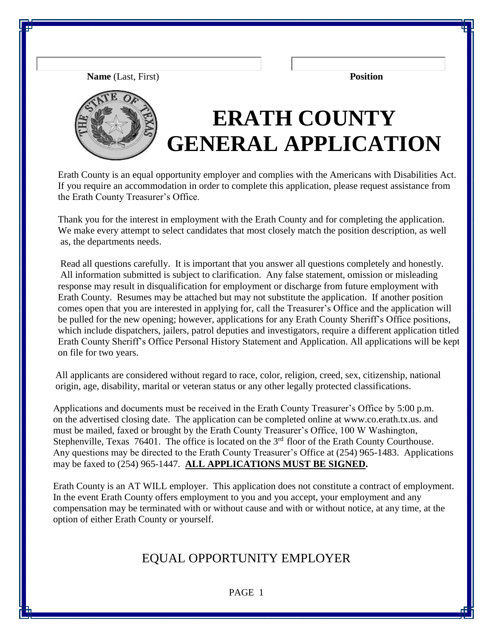**Name** (Last, First) **Position**



# **ERATH COUNTY GENERAL APPLICATION**

Erath County is an equal opportunity employer and complies with the Americans with Disabilities Act. If you require an accommodation in order to complete this application, please request assistance from the Erath County Treasurer's Office.

Thank you for the interest in employment with the Erath County and for completing the application. We make every attempt to select candidates that most closely match the position description, as well as, the departments needs.

Read all questions carefully. It is important that you answer all questions completely and honestly. All information submitted is subject to clarification. Any false statement, omission or misleading response may result in disqualification for employment or discharge from future employment with Erath County. Resumes may be attached but may not substitute the application. If another position comes open that you are interested in applying for, call the Treasurer's Office and the application will be pulled for the new opening; however, applications for any Erath County Sheriff's Office positions, which include dispatchers, jailers, patrol deputies and investigators, require a different application titled Erath County Sheriff's Office Personal History Statement and Application. All applications will be kept on file for two years.

 All applicants are considered without regard to race, color, religion, creed, sex, citizenship, national origin, age, disability, marital or veteran status or any other legally protected classifications.

 Applications and documents must be received in the Erath County Treasurer's Office by 5:00 p.m. on the advertised closing date. The application can be completed online at www.co.erath.tx.us. and must be mailed, faxed or brought by the Erath County Treasurer's Office, 100 W Washington, Stephenville, Texas  $76401$ . The office is located on the  $3<sup>rd</sup>$  floor of the Erath County Courthouse. Any questions may be directed to the Erath County Treasurer's Office at (254) 965-1483. Applications may be faxed to (254) 965-1447. **ALL APPLICATIONS MUST BE SIGNED.**

 Erath County is an AT WILL employer. This application does not constitute a contract of employment. In the event Erath County offers employment to you and you accept, your employment and any compensation may be terminated with or without cause and with or without notice, at any time, at the option of either Erath County or yourself.

### EQUAL OPPORTUNITY EMPLOYER

PAGE 1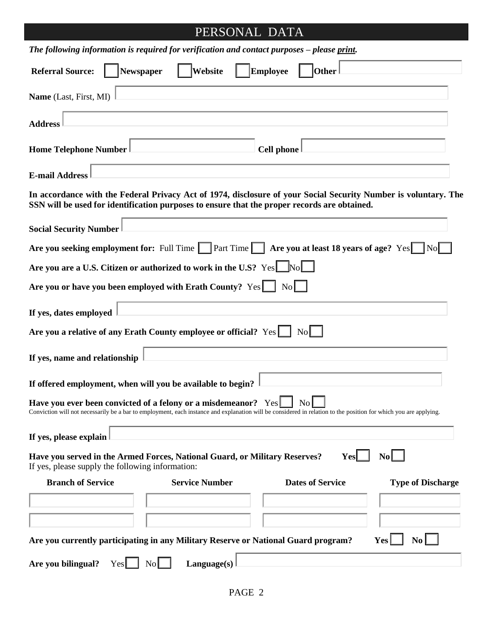### PERSONAL DATA

| The following information is required for verification and contact purposes – please print.                                                                                                                                        |                                   |                   |                         |                          |
|------------------------------------------------------------------------------------------------------------------------------------------------------------------------------------------------------------------------------------|-----------------------------------|-------------------|-------------------------|--------------------------|
| Newspaper<br><b>Referral Source:</b>                                                                                                                                                                                               | Website                           | <b>Employee</b>   | <b>Other</b>            |                          |
| Name (Last, First, MI)                                                                                                                                                                                                             |                                   |                   |                         |                          |
| <b>Address</b>                                                                                                                                                                                                                     |                                   |                   |                         |                          |
| <b>Home Telephone Number</b>                                                                                                                                                                                                       |                                   | <b>Cell phone</b> |                         |                          |
| <b>E-mail Address</b>                                                                                                                                                                                                              |                                   |                   |                         |                          |
| In accordance with the Federal Privacy Act of 1974, disclosure of your Social Security Number is voluntary. The<br>SSN will be used for identification purposes to ensure that the proper records are obtained.                    |                                   |                   |                         |                          |
| <b>Social Security Number</b>                                                                                                                                                                                                      |                                   |                   |                         |                          |
| Are you seeking employment for: Full Time Part Time Are you at least 18 years of age? Yes No                                                                                                                                       |                                   |                   |                         |                          |
| Are you are a U.S. Citizen or authorized to work in the U.S? Yes No                                                                                                                                                                |                                   |                   |                         |                          |
| Are you or have you been employed with Erath County? Yes   No                                                                                                                                                                      |                                   |                   |                         |                          |
| If yes, dates employed                                                                                                                                                                                                             |                                   |                   |                         |                          |
| Are you a relative of any Erath County employee or official? Yes                                                                                                                                                                   |                                   |                   | $\text{No}$             |                          |
| If yes, name and relationship                                                                                                                                                                                                      |                                   |                   |                         |                          |
| If offered employment, when will you be available to begin?                                                                                                                                                                        |                                   |                   |                         |                          |
| Have you ever been convicted of a felony or a misdemeanor? Yes<br>Conviction will not necessarily be a bar to employment, each instance and explanation will be considered in relation to the position for which you are applying. |                                   |                   | $\overline{N}$ o        |                          |
| If yes, please explain                                                                                                                                                                                                             |                                   |                   |                         |                          |
| Have you served in the Armed Forces, National Guard, or Military Reserves?<br>If yes, please supply the following information:                                                                                                     |                                   |                   | <b>Yes</b>              | $\text{No}$              |
| <b>Branch of Service</b>                                                                                                                                                                                                           | <b>Service Number</b>             |                   | <b>Dates of Service</b> | <b>Type of Discharge</b> |
|                                                                                                                                                                                                                                    |                                   |                   |                         |                          |
|                                                                                                                                                                                                                                    |                                   |                   |                         |                          |
| Are you currently participating in any Military Reserve or National Guard program?                                                                                                                                                 |                                   |                   |                         | No.<br>Yes               |
| Are you bilingual?<br>Yes                                                                                                                                                                                                          | $\overline{N_{0}}$<br>Language(s) |                   |                         |                          |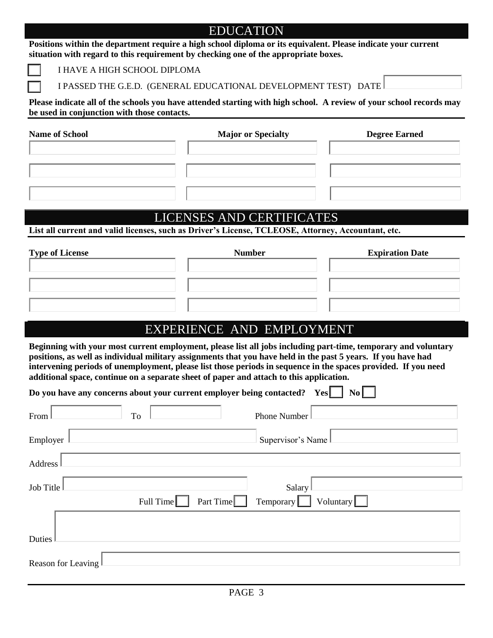## EDUCATION **Positions within the department require a high school diploma or its equivalent. Please indicate your current situation with regard to this requirement by checking one of the appropriate boxes.** I HAVE A HIGH SCHOOL DIPLOMA I PASSED THE G.E.D. (GENERAL EDUCATIONAL DEVELOPMENT TEST) DATE **Please indicate all of the schools you have attended starting with high school. A review of your school records may be used in conjunction with those contacts. Name of School Major or Specialty All All Degree Earned School Major or Specialty Community Degree Earned** LICENSES AND CERTIFICATES **List all current and valid licenses, such as Driver's License, TCLEOSE, Attorney, Accountant, etc. Type of License** *Number* **Expiration Date**  EXPERIENCE AND EMPLOYMENT **Beginning with your most current employment, please list all jobs including part-time, temporary and voluntary positions, as well as individual military assignments that you have held in the past 5 years. If you have had intervening periods of unemployment, please list those periods in sequence in the spaces provided. If you need additional space, continue on a separate sheet of paper and attach to this application. Do you have any concerns about your current employer being contacted?** Yes  $\begin{bmatrix} \mathbf{N}\mathbf{0} \end{bmatrix}$ From To To Phone Number **Employer Supervisor's Name** Address Job Title Salary Salary Full Time Part Time Temporary Voluntary Duties Reason for Leaving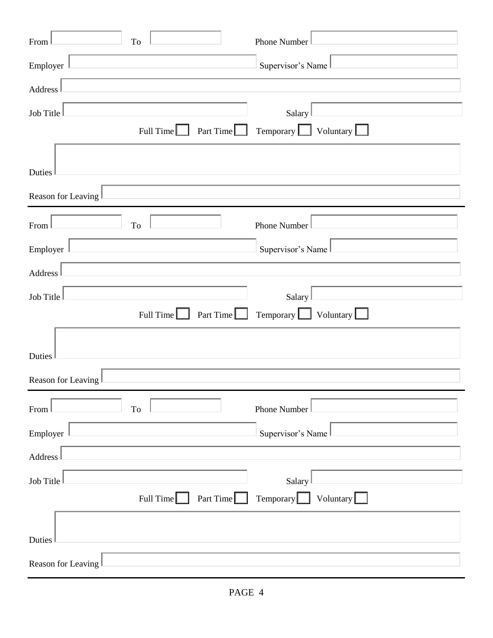| To<br>From                           | Phone Number                                                       |  |  |
|--------------------------------------|--------------------------------------------------------------------|--|--|
| Employer                             | Supervisor's Name                                                  |  |  |
| Address                              |                                                                    |  |  |
| Job Title                            | Salary                                                             |  |  |
| Part Time<br>Full Time $\Box$        | Temporary $\boxed{\phantom{1}}$<br>Voluntary $\lfloor$             |  |  |
| Duties                               |                                                                    |  |  |
| Reason for Leaving                   |                                                                    |  |  |
| T <sub>o</sub><br>From               | Phone Number                                                       |  |  |
| Employer                             | Supervisor's Name                                                  |  |  |
| Address                              |                                                                    |  |  |
| Job Title                            | Salary                                                             |  |  |
| Part Time<br>Full Time $\Box$        | Temporary $\boxed{\phantom{1}}$<br>Voluntary $\boxed{\phantom{1}}$ |  |  |
| Duties                               |                                                                    |  |  |
| Reason for Leaving                   |                                                                    |  |  |
| To<br>From                           | Phone Number                                                       |  |  |
| Employer                             | Supervisor's Name                                                  |  |  |
| Address                              |                                                                    |  |  |
| Job Title                            | Salary                                                             |  |  |
| Part Time $\Box$<br>Full Time $\Box$ | Voluntary<br>Temporary                                             |  |  |
| Duties                               |                                                                    |  |  |
| Reason for Leaving                   |                                                                    |  |  |